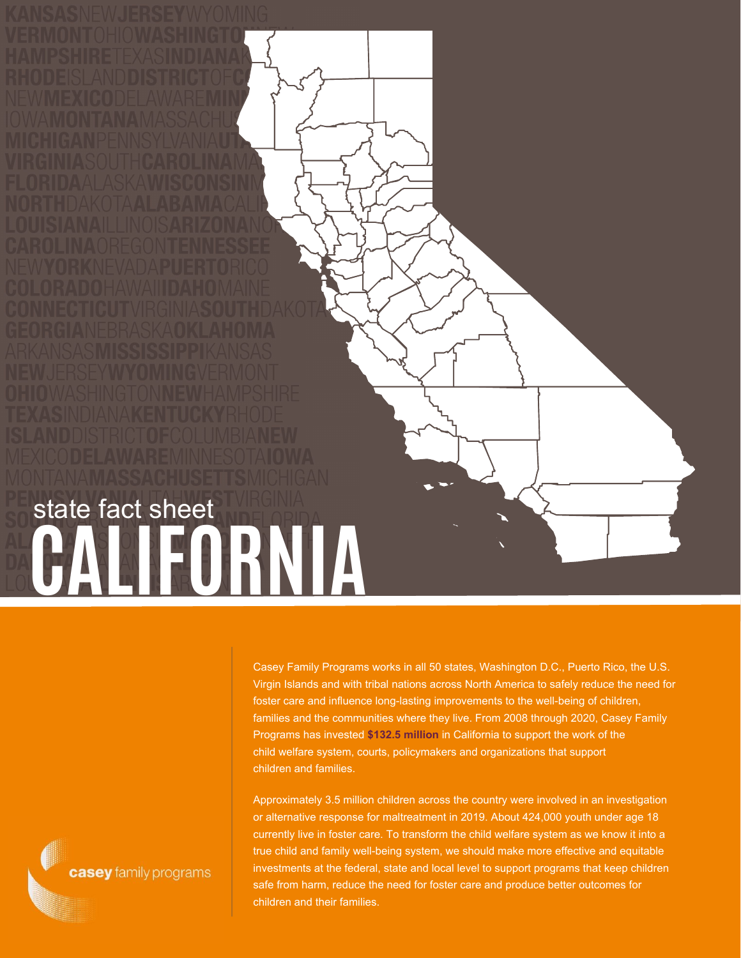Casey Family Programs works in all 50 states, Washington D.C., Puerto Rico, the U.S. Virgin Islands and with tribal nations across North America to safely reduce the need for foster care and influence long-lasting improvements to the well-being of children, families and the communities where they live. From 2008 through 2020, Casey Family Programs has invested **\$132.5 million** in California to support the work of the child welfare system, courts, policymakers and organizations that support children and families.

Approximately 3.5 million children across the country were involved in an investigation or alternative response for maltreatment in 2019. About 424,000 youth under age 18 currently live in foster care. To transform the child welfare system as we know it into a true child and family well-being system, we should make more effective and equitable investments at the federal, state and local level to support programs that keep children safe from harm, reduce the need for foster care and produce better outcomes for children and their families.

casey family programs

state fact sheet

**CALIFORNIA**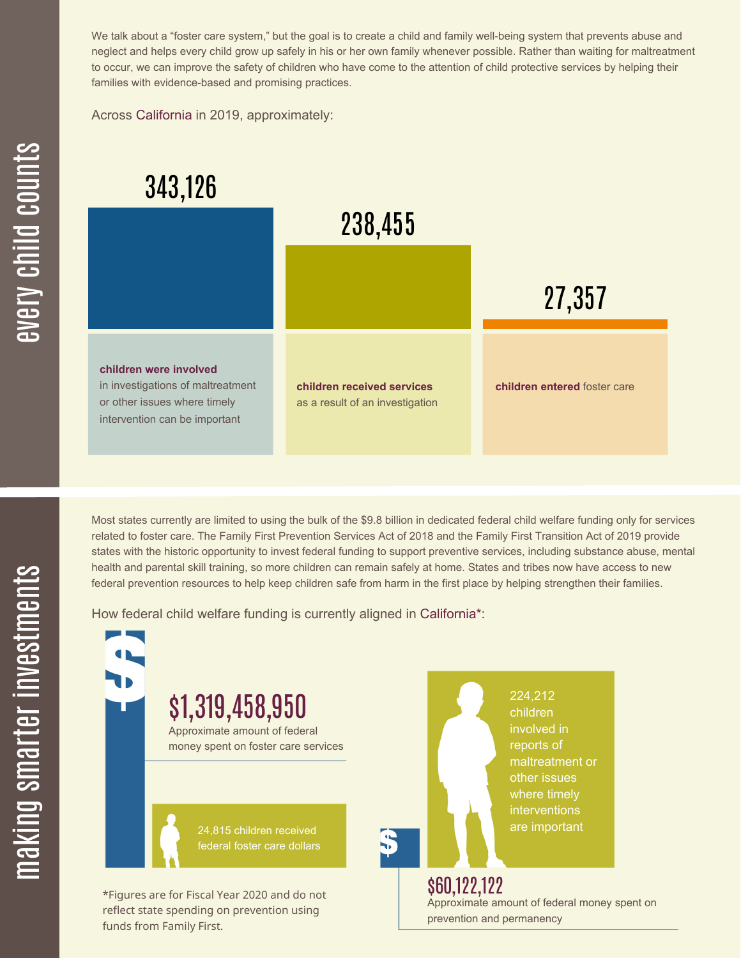We talk about a "foster care system," but the goal is to create a child and family well-being system that prevents abuse and neglect and helps every child grow up safely in his or her own family whenever possible. Rather than waiting for maltreatment to occur, we can improve the safety of children who have come to the attention of child protective services by helping their families with evidence-based and promising practices.

Across California in 2019, approximately:



Most states currently are limited to using the bulk of the \$9.8 billion in dedicated federal child welfare funding only for services related to foster care. The Family First Prevention Services Act of 2018 and the Family First Transition Act of 2019 provide states with the historic opportunity to invest federal funding to support preventive services, including substance abuse, mental health and parental skill training, so more children can remain safely at home. States and tribes now have access to new federal prevention resources to help keep children safe from harm in the first place by helping strengthen their families.

How federal child welfare funding is currently aligned in California\*:

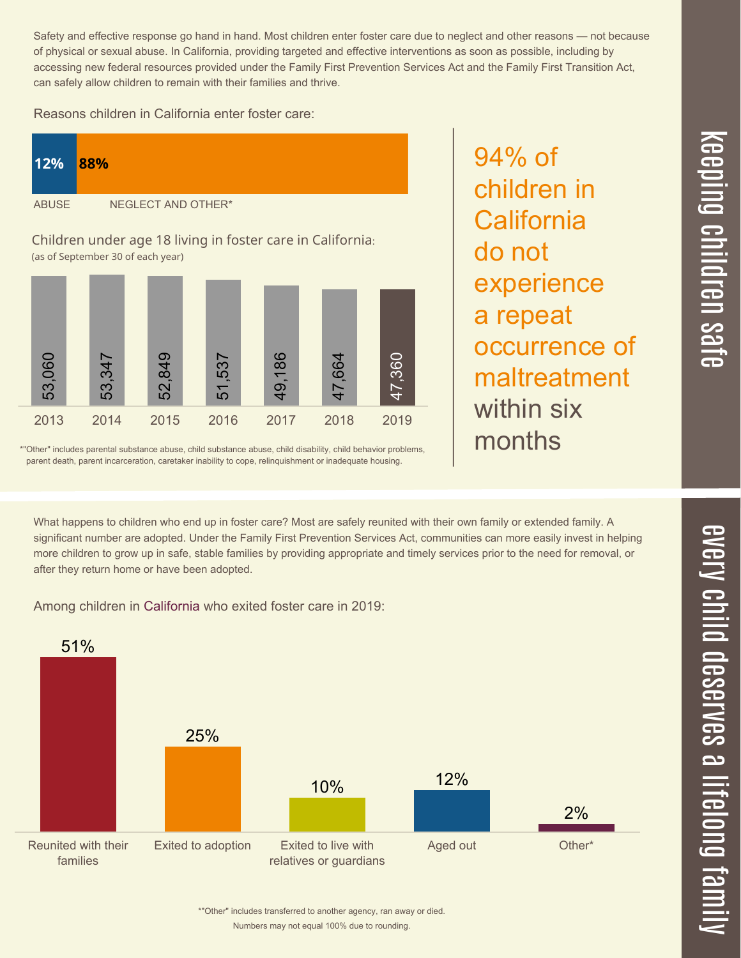Safety and effective response go hand in hand. Most children enter foster care due to neglect and other reasons — not because of physical or sexual abuse. In California, providing targeted and effective interventions as soon as possible, including by accessing new federal resources provided under the Family First Prevention Services Act and the Family First Transition Act, can safely allow children to remain with their families and thrive.

Reasons children in California enter foster care:





\*"Other" includes parental substance abuse, child substance abuse, child disability, child behavior problems, parent death, parent incarceration, caretaker inability to cope, relinquishment or inadequate housing.

94% of children in **California** do not experience a repeat occurrence of maltreatment within six months

What happens to children who end up in foster care? Most are safely reunited with their own family or extended family. A significant number are adopted. Under the Family First Prevention Services Act, communities can more easily invest in helping more children to grow up in safe, stable families by providing appropriate and timely services prior to the need for removal, or after they return home or have been adopted.

Among children in California who exited foster care in 2019: